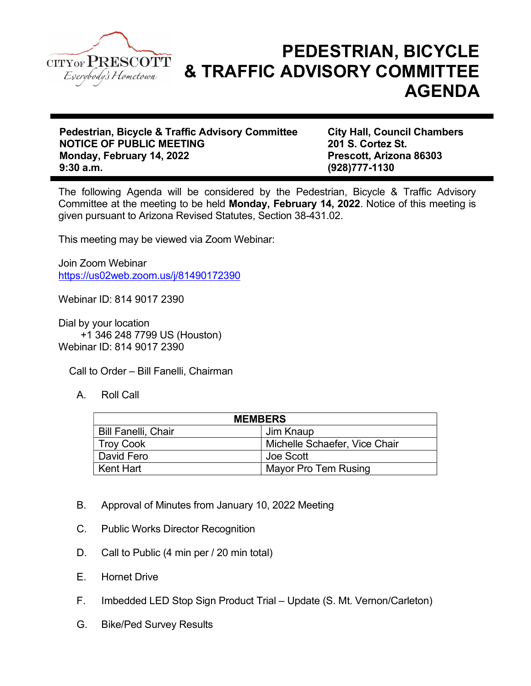

## PEDESTRIAN, BICYCLE & TRAFFIC ADVISORY COMMITTEE AGENDA

Pedestrian, Bicycle & Traffic Advisory Committee City Hall, Council Chambers NOTICE OF PUBLIC MEETING<br>
Mondav. February 14. 2022<br>
Prescott. Arizona 86303 Monday, February 14, 2022 9:30 a.m. (928)777-1130

The following Agenda will be considered by the Pedestrian, Bicycle & Traffic Advisory Committee at the meeting to be held Monday, February 14, 2022. Notice of this meeting is given pursuant to Arizona Revised Statutes, Section 38-431.02.

This meeting may be viewed via Zoom Webinar:

Join Zoom Webinar https://us02web.zoom.us/j/81490172390

Webinar ID: 814 9017 2390

Dial by your location +1 346 248 7799 US (Houston) Webinar ID: 814 9017 2390

Call to Order – Bill Fanelli, Chairman

A. Roll Call

| <b>MEMBERS</b>             |                               |
|----------------------------|-------------------------------|
| <b>Bill Fanelli, Chair</b> | Jim Knaup                     |
| Troy Cook                  | Michelle Schaefer, Vice Chair |
| David Fero                 | Joe Scott                     |
| Kent Hart                  | Mayor Pro Tem Rusing          |

- B. Approval of Minutes from January 10, 2022 Meeting
- C. Public Works Director Recognition
- D. Call to Public (4 min per / 20 min total)
- E. Hornet Drive
- F. Imbedded LED Stop Sign Product Trial Update (S. Mt. Vernon/Carleton)
- G. Bike/Ped Survey Results